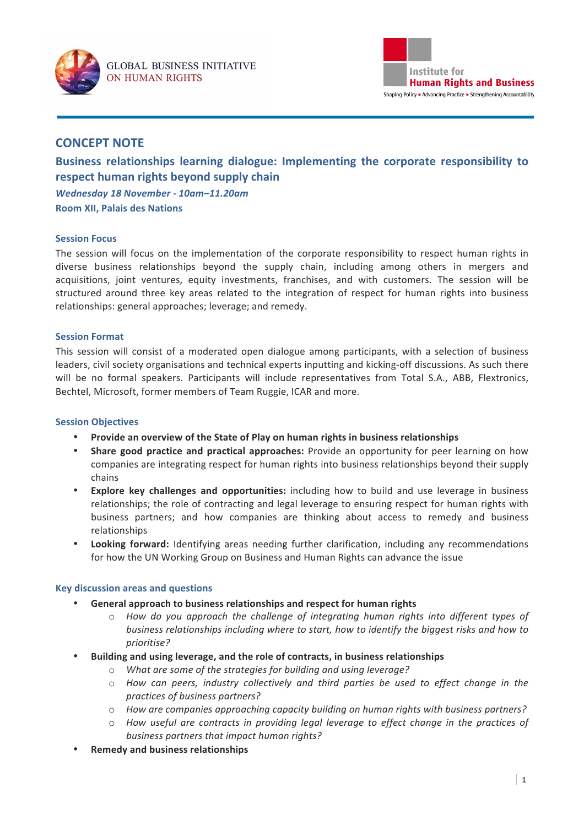



# **CONCEPT NOTE**

Business relationships learning dialogue: Implementing the corporate responsibility to **respect human rights beyond supply chain** *Wednesday 18 November - 10am–11.20am* **Room XII, Palais des Nations** 

### **Session Focus**

The session will focus on the implementation of the corporate responsibility to respect human rights in diverse business relationships beyond the supply chain, including among others in mergers and acquisitions, joint ventures, equity investments, franchises, and with customers. The session will be structured around three key areas related to the integration of respect for human rights into business relationships: general approaches; leverage; and remedy.

### **Session Format**

This session will consist of a moderated open dialogue among participants, with a selection of business leaders, civil society organisations and technical experts inputting and kicking-off discussions. As such there will be no formal speakers. Participants will include representatives from Total S.A., ABB, Flextronics, Bechtel, Microsoft, former members of Team Ruggie, ICAR and more.

### **Session Objectives**

- Provide an overview of the State of Play on human rights in business relationships
- **Share good practice and practical approaches:** Provide an opportunity for peer learning on how companies are integrating respect for human rights into business relationships beyond their supply chains
- **Explore key challenges and opportunities:** including how to build and use leverage in business relationships; the role of contracting and legal leverage to ensuring respect for human rights with business partners; and how companies are thinking about access to remedy and business relationships
- **Looking forward:** Identifying areas needing further clarification, including any recommendations for how the UN Working Group on Business and Human Rights can advance the issue

### **Key discussion areas and questions**

- General approach to business relationships and respect for human rights
	- $\circ$  *How do you approach the challenge of integrating human rights into different types of business relationships including where to start, how to identify the biggest risks and how to prioritise?*
- Building and using leverage, and the role of contracts, in business relationships
	- $\circ$  *What are some of the strategies for building and using leverage?*
	- $\circ$  *How can peers, industry collectively and third parties be used to effect change in the practices of business partners?*
	- $\circ$  *How are companies approaching capacity building on human rights with business partners?*
	- $\circ$  *How useful are contracts in providing legal leverage to effect change in the practices of* business partners that impact human rights?
- **Remedy and business relationships**